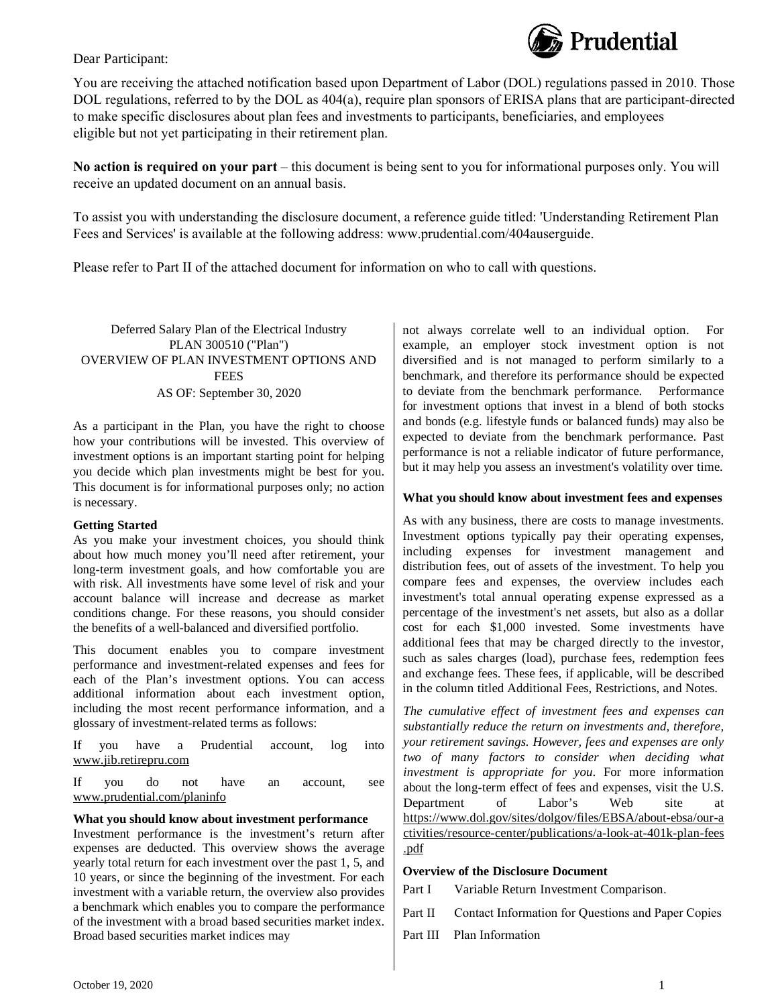

### Dear Participant:

You are receiving the attached notification based upon Department of Labor (DOL) regulations passed in 2010. Those DOL regulations, referred to by the DOL as 404(a), require plan sponsors of ERISA plans that are participant-directed to make specific disclosures about plan fees and investments to participants, beneficiaries, and employees eligible but not yet participating in their retirement plan.

**No action is required on your part** – this document is being sent to you for informational purposes only. You will receive an updated document on an annual basis.

To assist you with understanding the disclosure document, a reference guide titled: 'Understanding Retirement Plan Fees and Services' is available at the following address: www.prudential.com/404auserguide.

Please refer to Part II of the attached document for information on who to call with questions.

### Deferred Salary Plan of the Electrical Industry PLAN 300510 ("Plan") OVERVIEW OF PLAN INVESTMENT OPTIONS AND **FEES** AS OF: September 30, 2020

As a participant in the Plan, you have the right to choose how your contributions will be invested. This overview of investment options is an important starting point for helping you decide which plan investments might be best for you. This document is for informational purposes only; no action is necessary.

### **Getting Started**

As you make your investment choices, you should think about how much money you'll need after retirement, your long-term investment goals, and how comfortable you are with risk. All investments have some level of risk and your account balance will increase and decrease as market conditions change. For these reasons, you should consider the benefits of a well-balanced and diversified portfolio.

This document enables you to compare investment performance and investment-related expenses and fees for each of the Plan's investment options. You can access additional information about each investment option, including the most recent performance information, and a glossary of investment-related terms as follows:

If you have a Prudential account, log into <www.jib.retirepru.com>

If you do not have an account, see <www.prudential.com/planinfo>

#### **What you should know about investment performance**

Investment performance is the investment's return after expenses are deducted. This overview shows the average yearly total return for each investment over the past 1, 5, and 10 years, or since the beginning of the investment. For each investment with a variable return, the overview also provides a benchmark which enables you to compare the performance of the investment with a broad based securities market index. Broad based securities market indices may

not always correlate well to an individual option. For example, an employer stock investment option is not diversified and is not managed to perform similarly to a benchmark, and therefore its performance should be expected to deviate from the benchmark performance. Performance for investment options that invest in a blend of both stocks and bonds (e.g. lifestyle funds or balanced funds) may also be expected to deviate from the benchmark performance. Past performance is not a reliable indicator of future performance, but it may help you assess an investment's volatility over time.

#### **What you should know about investment fees and expenses**

As with any business, there are costs to manage investments. Investment options typically pay their operating expenses, including expenses for investment management and distribution fees, out of assets of the investment. To help you compare fees and expenses, the overview includes each investment's total annual operating expense expressed as a percentage of the investment's net assets, but also as a dollar cost for each \$1,000 invested. Some investments have additional fees that may be charged directly to the investor, such as sales charges (load), purchase fees, redemption fees and exchange fees. These fees, if applicable, will be described in the column titled Additional Fees, Restrictions, and Notes.

*The cumulative effect of investment fees and expenses can substantially reduce the return on investments and, therefore, your retirement savings. However, fees and expenses are only two of many factors to consider when deciding what investment is appropriate for you*. For more information about the long-term effect of fees and expenses, visit the U.S. Department of Labor's Web site at <https://www.dol.gov/sites/dolgov/files/EBSA/about-ebsa/our-a> ctivities/resource-center/publications/a-look-at-401k-plan-fees .pdf

#### **Overview of the Disclosure Document**

Part I Variable Return Investment Comparison.

- Part II Contact Information for Questions and Paper Copies
- Part III Plan Information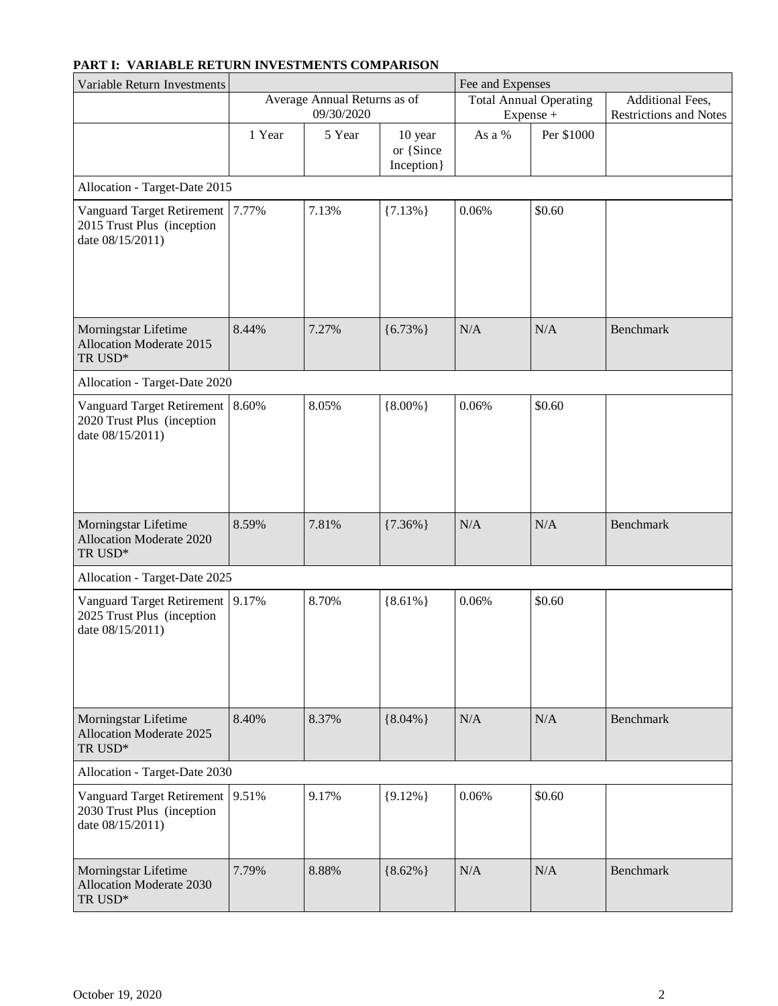# **PART I: VARIABLE RETURN INVESTMENTS COMPARISON**

| Variable Return Investments                                                         |        |                                            | Fee and Expenses                    |        |                                            |                                                   |
|-------------------------------------------------------------------------------------|--------|--------------------------------------------|-------------------------------------|--------|--------------------------------------------|---------------------------------------------------|
|                                                                                     |        | Average Annual Returns as of<br>09/30/2020 |                                     |        | <b>Total Annual Operating</b><br>Expense + | Additional Fees,<br><b>Restrictions and Notes</b> |
|                                                                                     | 1 Year | 5 Year                                     | 10 year<br>or {Since<br>Inception } | As a % | Per \$1000                                 |                                                   |
| Allocation - Target-Date 2015                                                       |        |                                            |                                     |        |                                            |                                                   |
| Vanguard Target Retirement<br>2015 Trust Plus (inception<br>date 08/15/2011)        | 7.77%  | 7.13%                                      | ${7.13\%}$                          | 0.06%  | \$0.60                                     |                                                   |
| Morningstar Lifetime<br><b>Allocation Moderate 2015</b><br>TR USD*                  | 8.44%  | 7.27%                                      | ${6.73\%}$                          | N/A    | N/A                                        | Benchmark                                         |
| Allocation - Target-Date 2020                                                       |        |                                            |                                     |        |                                            |                                                   |
| Vanguard Target Retirement<br>2020 Trust Plus (inception<br>date 08/15/2011)        | 8.60%  | 8.05%                                      | ${8.00\%}$                          | 0.06%  | \$0.60                                     |                                                   |
| Morningstar Lifetime<br>Allocation Moderate 2020<br>TR USD*                         | 8.59%  | 7.81%                                      | ${7.36\%}$                          | N/A    | N/A                                        | <b>Benchmark</b>                                  |
| Allocation - Target-Date 2025                                                       |        |                                            |                                     |        |                                            |                                                   |
| <b>Vanguard Target Retirement</b><br>2025 Trust Plus (inception<br>date 08/15/2011) | 9.17%  | 8.70%                                      | ${8.61\%}$                          | 0.06%  | \$0.60                                     |                                                   |
| Morningstar Lifetime<br>Allocation Moderate 2025<br>TR USD*                         | 8.40%  | 8.37%                                      | ${8.04\%}$                          | N/A    | N/A                                        | <b>Benchmark</b>                                  |
| Allocation - Target-Date 2030                                                       |        |                                            |                                     |        |                                            |                                                   |
| Vanguard Target Retirement<br>2030 Trust Plus (inception<br>date 08/15/2011)        | 9.51%  | 9.17%                                      | ${9.12\%}$                          | 0.06%  | \$0.60                                     |                                                   |
| Morningstar Lifetime<br>Allocation Moderate 2030<br>TR USD*                         | 7.79%  | 8.88%                                      | ${8.62\%}$                          | N/A    | N/A                                        | Benchmark                                         |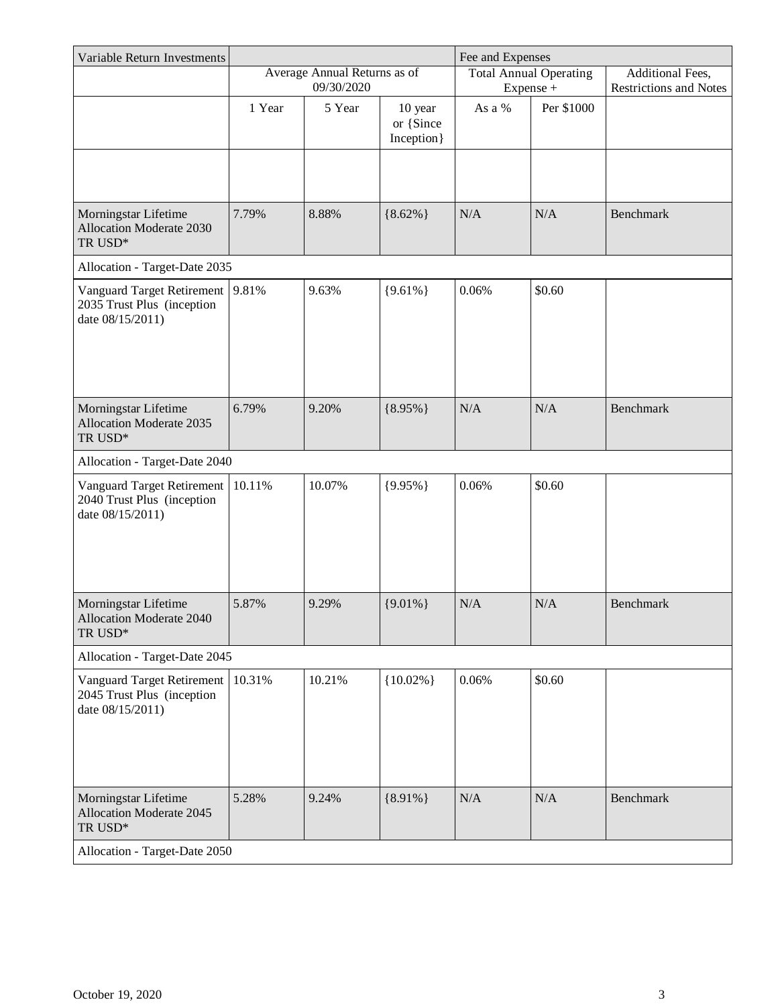| Variable Return Investments                                                                                  |        |                              |                                     | Fee and Expenses |                               |                               |
|--------------------------------------------------------------------------------------------------------------|--------|------------------------------|-------------------------------------|------------------|-------------------------------|-------------------------------|
|                                                                                                              |        | Average Annual Returns as of |                                     |                  | <b>Total Annual Operating</b> | Additional Fees,              |
|                                                                                                              |        | 09/30/2020                   |                                     |                  | Expense +                     | <b>Restrictions and Notes</b> |
|                                                                                                              | 1 Year | 5 Year                       | 10 year<br>or {Since<br>Inception } | As a %           | Per \$1000                    |                               |
|                                                                                                              |        |                              |                                     |                  |                               |                               |
| Morningstar Lifetime<br>Allocation Moderate 2030<br>$\ensuremath{\mathsf{T}}\ensuremath{\mathsf{R}}$<br>USD* | 7.79%  | 8.88%                        | ${8.62\%}$                          | N/A              | N/A                           | Benchmark                     |
| Allocation - Target-Date 2035                                                                                |        |                              |                                     |                  |                               |                               |
| Vanguard Target Retirement<br>2035 Trust Plus (inception<br>date 08/15/2011)                                 | 9.81%  | 9.63%                        | ${9.61\%}$                          | 0.06%            | \$0.60                        |                               |
| Morningstar Lifetime<br>Allocation Moderate 2035<br>$\ensuremath{\mathsf{T}}\ensuremath{\mathsf{R}}$<br>USD* | 6.79%  | 9.20%                        | ${8.95\%}$                          | N/A              | N/A                           | <b>Benchmark</b>              |
| Allocation - Target-Date 2040                                                                                |        |                              |                                     |                  |                               |                               |
| Vanguard Target Retirement<br>2040 Trust Plus (inception<br>date 08/15/2011)                                 | 10.11% | 10.07%                       | ${9.95\%}$                          | 0.06%            | \$0.60                        |                               |
| Morningstar Lifetime<br>Allocation Moderate 2040<br>TR USD*                                                  | 5.87%  | 9.29%                        | ${9.01\%}$                          | N/A              | N/A                           | Benchmark                     |
| Allocation - Target-Date 2045                                                                                |        |                              |                                     |                  |                               |                               |
| Vanguard Target Retirement<br>2045 Trust Plus (inception<br>date 08/15/2011)                                 | 10.31% | 10.21%                       | ${10.02\%}$                         | 0.06%            | \$0.60                        |                               |
| Morningstar Lifetime<br>Allocation Moderate 2045<br>$\ensuremath{\mathsf{T}}\ensuremath{\mathsf{R}}$<br>USD* | 5.28%  | 9.24%                        | ${8.91\%}$                          | N/A              | N/A                           | <b>Benchmark</b>              |
| Allocation - Target-Date 2050                                                                                |        |                              |                                     |                  |                               |                               |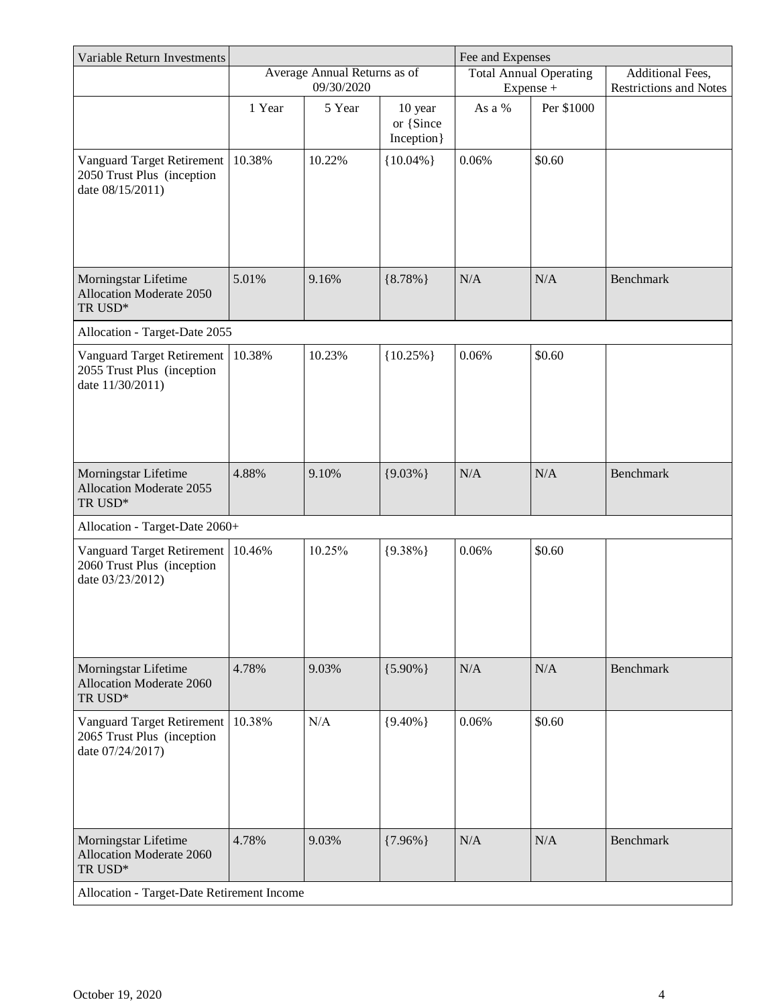| Variable Return Investments                                                  |        |                              | Fee and Expenses                    |        |                               |                               |
|------------------------------------------------------------------------------|--------|------------------------------|-------------------------------------|--------|-------------------------------|-------------------------------|
|                                                                              |        | Average Annual Returns as of |                                     |        | <b>Total Annual Operating</b> | Additional Fees,              |
|                                                                              |        | 09/30/2020                   |                                     |        | Expense +                     | <b>Restrictions and Notes</b> |
|                                                                              | 1 Year | 5 Year                       | 10 year<br>or {Since<br>Inception } | As a % | Per \$1000                    |                               |
| Vanguard Target Retirement<br>2050 Trust Plus (inception<br>date 08/15/2011) | 10.38% | 10.22%                       | ${10.04\%}$                         | 0.06%  | \$0.60                        |                               |
| Morningstar Lifetime<br>Allocation Moderate 2050<br>TR USD*                  | 5.01%  | 9.16%                        | ${8.78\%}$                          | N/A    | N/A                           | <b>Benchmark</b>              |
| Allocation - Target-Date 2055                                                |        |                              |                                     |        |                               |                               |
| Vanguard Target Retirement<br>2055 Trust Plus (inception<br>date 11/30/2011) | 10.38% | 10.23%                       | ${10.25\%}$                         | 0.06%  | \$0.60                        |                               |
| Morningstar Lifetime<br>Allocation Moderate 2055<br>${\rm TR}$ USD*          | 4.88%  | 9.10%                        | ${9.03\%}$                          | N/A    | N/A                           | <b>Benchmark</b>              |
| Allocation - Target-Date 2060+                                               |        |                              |                                     |        |                               |                               |
| Vanguard Target Retirement<br>2060 Trust Plus (inception<br>date 03/23/2012) | 10.46% | 10.25%                       | ${9.38\%}$                          | 0.06%  | \$0.60                        |                               |
| Morningstar Lifetime<br>Allocation Moderate 2060<br>TR USD*                  | 4.78%  | 9.03%                        | ${5.90\%}$                          | N/A    | N/A                           | <b>Benchmark</b>              |
| Vanguard Target Retirement<br>2065 Trust Plus (inception<br>date 07/24/2017) | 10.38% | N/A                          | ${9.40\%}$                          | 0.06%  | \$0.60                        |                               |
| Morningstar Lifetime<br>Allocation Moderate 2060<br>${\rm TR}$ USD*          | 4.78%  | 9.03%                        | ${7.96\%}$                          | N/A    | N/A                           | <b>Benchmark</b>              |
| Allocation - Target-Date Retirement Income                                   |        |                              |                                     |        |                               |                               |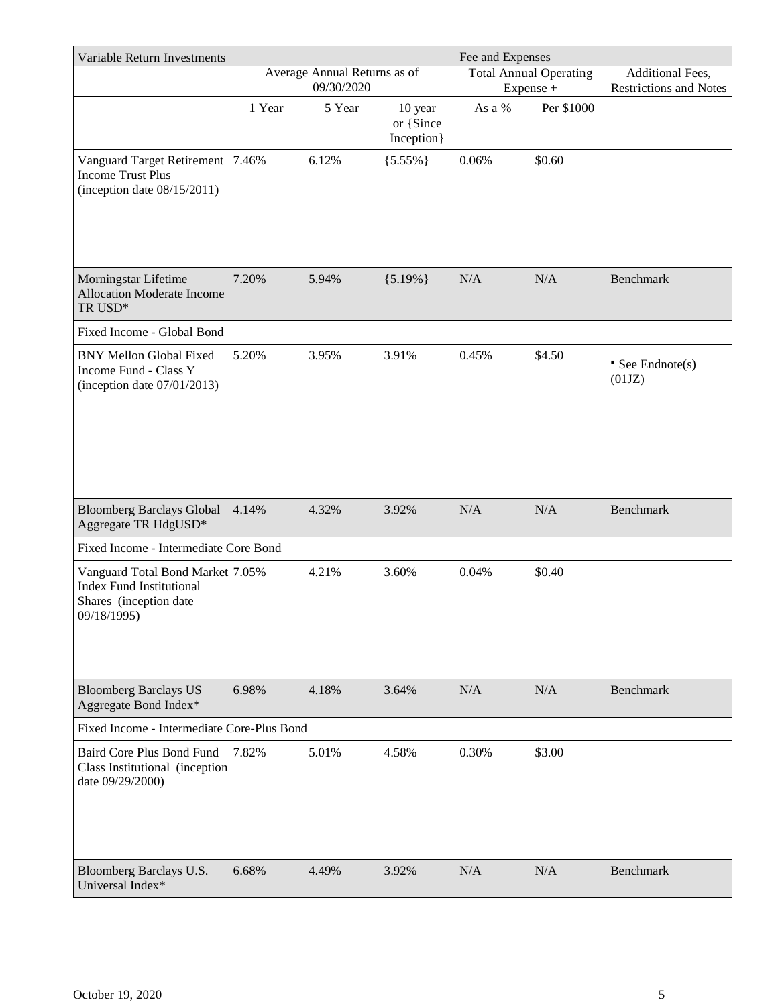| Variable Return Investments                                                                                  |                              |            |                                     | Fee and Expenses              |                  |                               |
|--------------------------------------------------------------------------------------------------------------|------------------------------|------------|-------------------------------------|-------------------------------|------------------|-------------------------------|
|                                                                                                              | Average Annual Returns as of |            |                                     | <b>Total Annual Operating</b> | Additional Fees, |                               |
|                                                                                                              |                              | 09/30/2020 |                                     |                               | Expense +        | <b>Restrictions and Notes</b> |
|                                                                                                              | 1 Year                       | 5 Year     | 10 year<br>or {Since<br>Inception } | As a %                        | Per \$1000       |                               |
| Vanguard Target Retirement<br><b>Income Trust Plus</b><br>(inception date $08/15/2011$ )                     | 7.46%                        | 6.12%      | ${5.55\%}$                          | 0.06%                         | \$0.60           |                               |
| Morningstar Lifetime<br><b>Allocation Moderate Income</b><br>TR USD*                                         | 7.20%                        | 5.94%      | ${5.19\%}$                          | N/A                           | N/A              | <b>Benchmark</b>              |
| Fixed Income - Global Bond                                                                                   |                              |            |                                     |                               |                  |                               |
| <b>BNY Mellon Global Fixed</b><br>Income Fund - Class Y<br>(inception date $07/01/2013$ )                    | 5.20%                        | 3.95%      | 3.91%                               | 0.45%                         | \$4.50           | • See Endnote(s)<br>(01JZ)    |
| <b>Bloomberg Barclays Global</b><br>Aggregate TR HdgUSD*                                                     | 4.14%                        | 4.32%      | 3.92%                               | N/A                           | N/A              | <b>Benchmark</b>              |
| Fixed Income - Intermediate Core Bond                                                                        |                              |            |                                     |                               |                  |                               |
| Vanguard Total Bond Market 7.05%<br><b>Index Fund Institutional</b><br>Shares (inception date<br>09/18/1995) |                              | 4.21%      | 3.60%                               | 0.04%                         | \$0.40           |                               |
| <b>Bloomberg Barclays US</b><br>Aggregate Bond Index*                                                        | 6.98%                        | 4.18%      | 3.64%                               | N/A                           | N/A              | <b>Benchmark</b>              |
| Fixed Income - Intermediate Core-Plus Bond                                                                   |                              |            |                                     |                               |                  |                               |
| <b>Baird Core Plus Bond Fund</b><br>Class Institutional (inception<br>date 09/29/2000)                       | 7.82%                        | 5.01%      | 4.58%                               | 0.30%                         | \$3.00           |                               |
| Bloomberg Barclays U.S.<br>Universal Index*                                                                  | 6.68%                        | 4.49%      | 3.92%                               | N/A                           | N/A              | <b>Benchmark</b>              |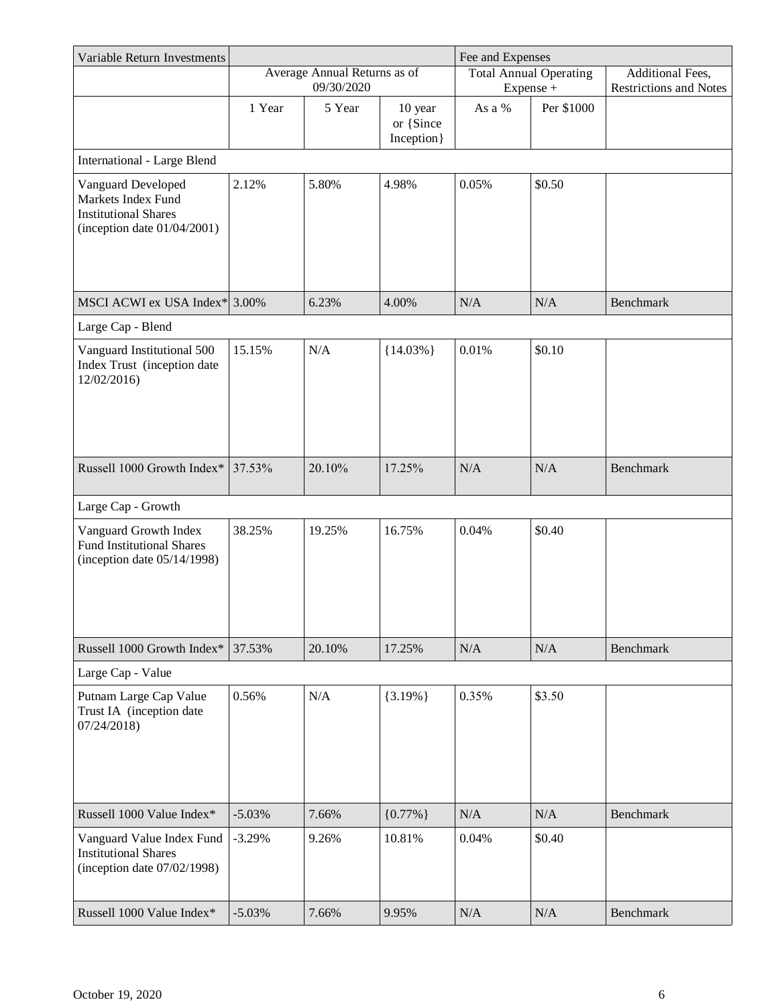| Variable Return Investments                                                                               |          |                                            |                                     | Fee and Expenses |                                            |                                                   |
|-----------------------------------------------------------------------------------------------------------|----------|--------------------------------------------|-------------------------------------|------------------|--------------------------------------------|---------------------------------------------------|
|                                                                                                           |          | Average Annual Returns as of<br>09/30/2020 |                                     |                  | <b>Total Annual Operating</b><br>Expense + | Additional Fees,<br><b>Restrictions and Notes</b> |
|                                                                                                           | 1 Year   | 5 Year                                     | 10 year<br>or {Since<br>Inception } | As a %           | Per \$1000                                 |                                                   |
| <b>International - Large Blend</b>                                                                        |          |                                            |                                     |                  |                                            |                                                   |
| Vanguard Developed<br>Markets Index Fund<br><b>Institutional Shares</b><br>(inception date $01/04/2001$ ) | 2.12%    | 5.80%                                      | 4.98%                               | 0.05%            | \$0.50                                     |                                                   |
| MSCI ACWI ex USA Index* 3.00%                                                                             |          | 6.23%                                      | 4.00%                               | N/A              | N/A                                        | <b>Benchmark</b>                                  |
| Large Cap - Blend                                                                                         |          |                                            |                                     |                  |                                            |                                                   |
| Vanguard Institutional 500<br>Index Trust (inception date<br>12/02/2016)                                  | 15.15%   | N/A                                        | ${14.03\%}$                         | 0.01%            | \$0.10                                     |                                                   |
| Russell 1000 Growth Index*                                                                                | 37.53%   | 20.10%                                     | 17.25%                              | N/A              | N/A                                        | <b>Benchmark</b>                                  |
| Large Cap - Growth                                                                                        |          |                                            |                                     |                  |                                            |                                                   |
| Vanguard Growth Index<br><b>Fund Institutional Shares</b><br>(inception date $05/14/1998$ )               | 38.25%   | 19.25%                                     | 16.75%                              | 0.04%            | \$0.40                                     |                                                   |
| Russell 1000 Growth Index*                                                                                | 37.53%   | 20.10%                                     | 17.25%                              | N/A              | N/A                                        | <b>Benchmark</b>                                  |
| Large Cap - Value                                                                                         |          |                                            |                                     |                  |                                            |                                                   |
| Putnam Large Cap Value<br>Trust IA (inception date<br>07/24/2018                                          | 0.56%    | N/A                                        | ${3.19\%}$                          | 0.35%            | \$3.50                                     |                                                   |
| Russell 1000 Value Index*                                                                                 | $-5.03%$ | 7.66%                                      | ${0.77\%}$                          | N/A              | N/A                                        | Benchmark                                         |
| Vanguard Value Index Fund<br><b>Institutional Shares</b><br>(inception date $07/02/1998$ )                | $-3.29%$ | 9.26%                                      | 10.81%                              | 0.04%            | \$0.40                                     |                                                   |
| Russell 1000 Value Index*                                                                                 | $-5.03%$ | 7.66%                                      | 9.95%                               | N/A              | N/A                                        | <b>Benchmark</b>                                  |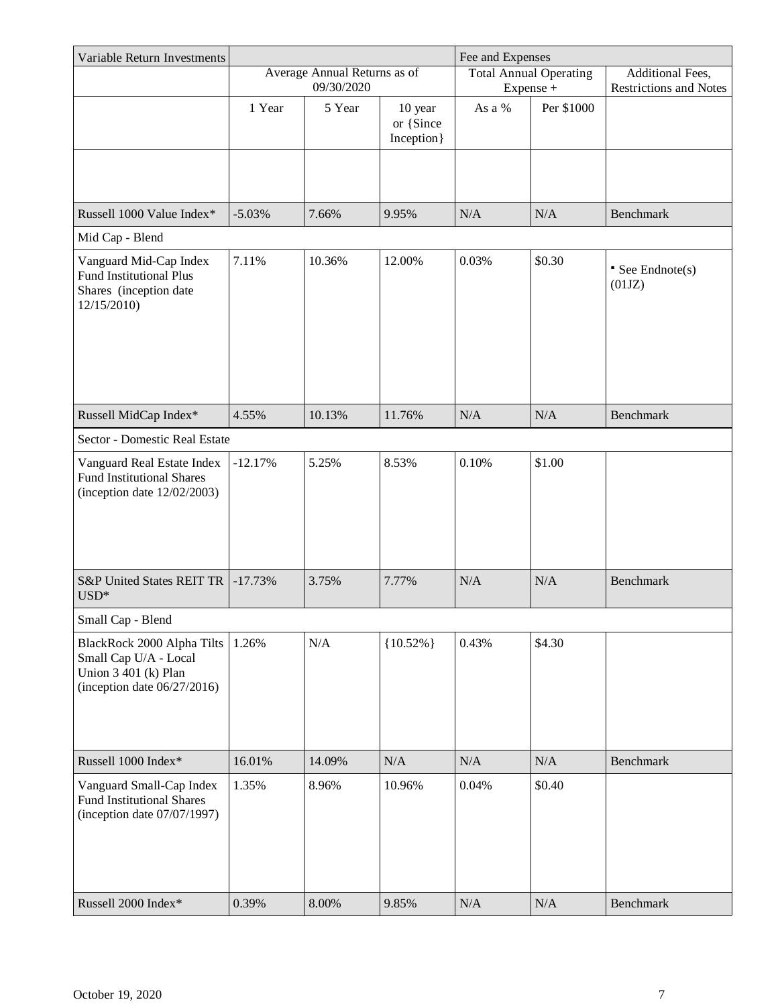| Variable Return Investments                                                                                   |           |                                            |                          | Fee and Expenses |                               |                                                   |
|---------------------------------------------------------------------------------------------------------------|-----------|--------------------------------------------|--------------------------|------------------|-------------------------------|---------------------------------------------------|
|                                                                                                               |           | Average Annual Returns as of<br>09/30/2020 |                          |                  | <b>Total Annual Operating</b> | Additional Fees,<br><b>Restrictions and Notes</b> |
|                                                                                                               | 1 Year    | 5 Year                                     | 10 year                  | As a %           | Expense +<br>Per \$1000       |                                                   |
|                                                                                                               |           |                                            | or {Since<br>Inception } |                  |                               |                                                   |
|                                                                                                               |           |                                            |                          |                  |                               |                                                   |
| Russell 1000 Value Index*                                                                                     | $-5.03%$  |                                            | 9.95%                    | N/A              | N/A                           | Benchmark                                         |
| Mid Cap - Blend                                                                                               |           | 7.66%                                      |                          |                  |                               |                                                   |
|                                                                                                               | 7.11%     | 10.36%                                     | 12.00%                   | 0.03%            | \$0.30                        |                                                   |
| Vanguard Mid-Cap Index<br><b>Fund Institutional Plus</b><br>Shares (inception date<br>12/15/2010)             |           |                                            |                          |                  |                               | $\bullet$ See Endnote(s)<br>(01JZ)                |
|                                                                                                               |           |                                            |                          |                  |                               |                                                   |
| Russell MidCap Index*                                                                                         | 4.55%     | 10.13%                                     | 11.76%                   | N/A              | N/A                           | Benchmark                                         |
| Sector - Domestic Real Estate                                                                                 |           |                                            |                          |                  |                               |                                                   |
| Vanguard Real Estate Index<br><b>Fund Institutional Shares</b><br>(inception date $12/02/2003$ )              | $-12.17%$ | 5.25%                                      | 8.53%                    | 0.10%            | \$1.00                        |                                                   |
| <b>S&amp;P United States REIT TR</b>                                                                          | $-17.73%$ | 3.75%                                      | 7.77%                    | N/A              | N/A                           | Benchmark                                         |
| $USD*$                                                                                                        |           |                                            |                          |                  |                               |                                                   |
| Small Cap - Blend                                                                                             |           |                                            |                          |                  |                               |                                                   |
| BlackRock 2000 Alpha Tilts<br>Small Cap U/A - Local<br>Union 3 401 (k) Plan<br>(inception date $06/27/2016$ ) | 1.26%     | N/A                                        | ${10.52\%}$              | 0.43%            | \$4.30                        |                                                   |
| Russell 1000 Index*                                                                                           | 16.01%    | 14.09%                                     | N/A                      | N/A              | N/A                           | Benchmark                                         |
| Vanguard Small-Cap Index<br><b>Fund Institutional Shares</b><br>(inception date $07/07/1997$ )                | 1.35%     | 8.96%                                      | 10.96%                   | 0.04%            | \$0.40                        |                                                   |
| Russell 2000 Index*                                                                                           | 0.39%     | 8.00%                                      | 9.85%                    | N/A              | N/A                           | Benchmark                                         |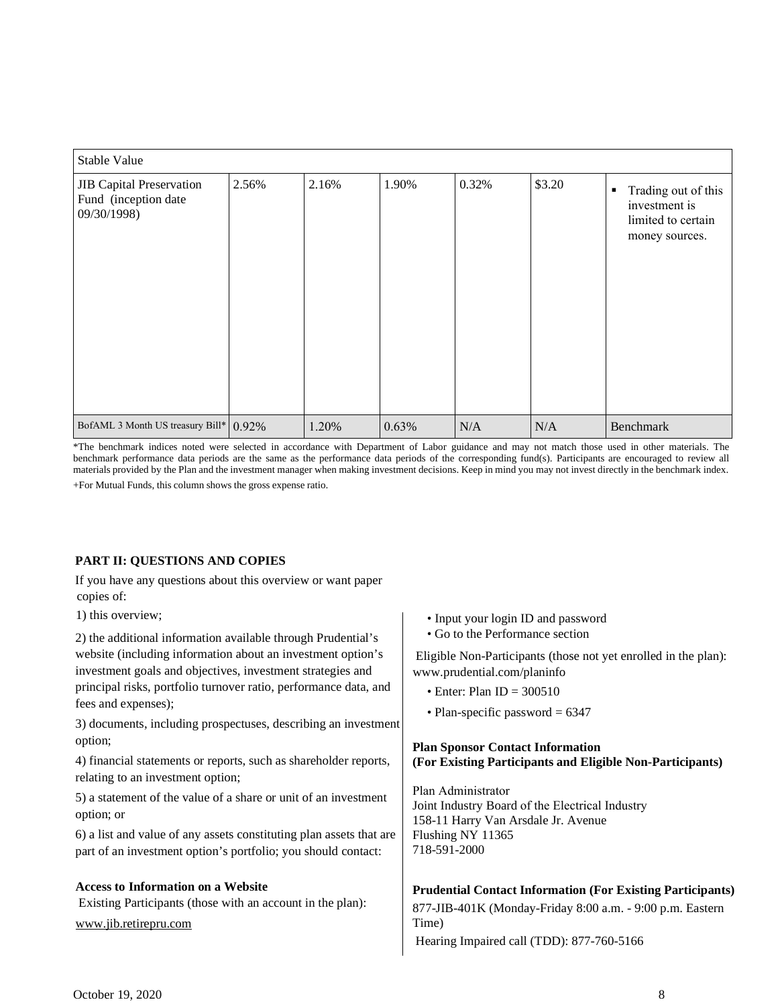| Stable Value                                                           |       |       |       |       |        |                                                                                   |
|------------------------------------------------------------------------|-------|-------|-------|-------|--------|-----------------------------------------------------------------------------------|
| <b>JIB</b> Capital Preservation<br>Fund (inception date<br>09/30/1998) | 2.56% | 2.16% | 1.90% | 0.32% | \$3.20 | Trading out of this<br>٠<br>investment is<br>limited to certain<br>money sources. |
| BofAML 3 Month US treasury Bill* 0.92%                                 |       | 1.20% | 0.63% | N/A   | N/A    | Benchmark                                                                         |

 \*The benchmark indices noted were selected in accordance with Department of Labor guidance and may not match those used in other materials. The benchmark performance data periods are the same as the performance data periods of the corresponding fund(s). Participants are encouraged to review all materials provided by the Plan and the investment manager when making investment decisions. Keep in mind you may not invest directly in the benchmark index. +For Mutual Funds, this column shows the gross expense ratio.

### **PART II: QUESTIONS AND COPIES**

 If you have any questions about this overview or want paper copies of:

1) this overview;

2) the additional information available through Prudential's website (including information about an investment option's investment goals and objectives, investment strategies and principal risks, portfolio turnover ratio, performance data, and fees and expenses);

3) documents, including prospectuses, describing an investment option;

4) financial statements or reports, such as shareholder reports, relating to an investment option;

5) a statement of the value of a share or unit of an investment option; or

6) a list and value of any assets constituting plan assets that are part of an investment option's portfolio; you should contact:

### **Access to Information on a Website**

Existing Participants (those with an account in the plan):

<www.jib.retirepru.com>

- Input your login ID and password
- Go to the Performance section

 Eligible Non-Participants (those not yet enrolled in the plan): <www.prudential.com/planinfo>

- Enter: Plan  $ID = 300510$
- Plan-specific password  $= 6347$

### **Plan Sponsor Contact Information (For Existing Participants and Eligible Non-Participants)**

 Joint Industry Board of the Electrical Industry 158-11 Harry Van Arsdale Jr. Avenue Flushing NY 11365 Plan Administrator 718-591-2000

### **Prudential Contact Information (For Existing Participants)**

 877-JIB-401K (Monday-Friday 8:00 a.m. - 9:00 p.m. Eastern Hearing Impaired call (TDD): 877-760-5166 Time)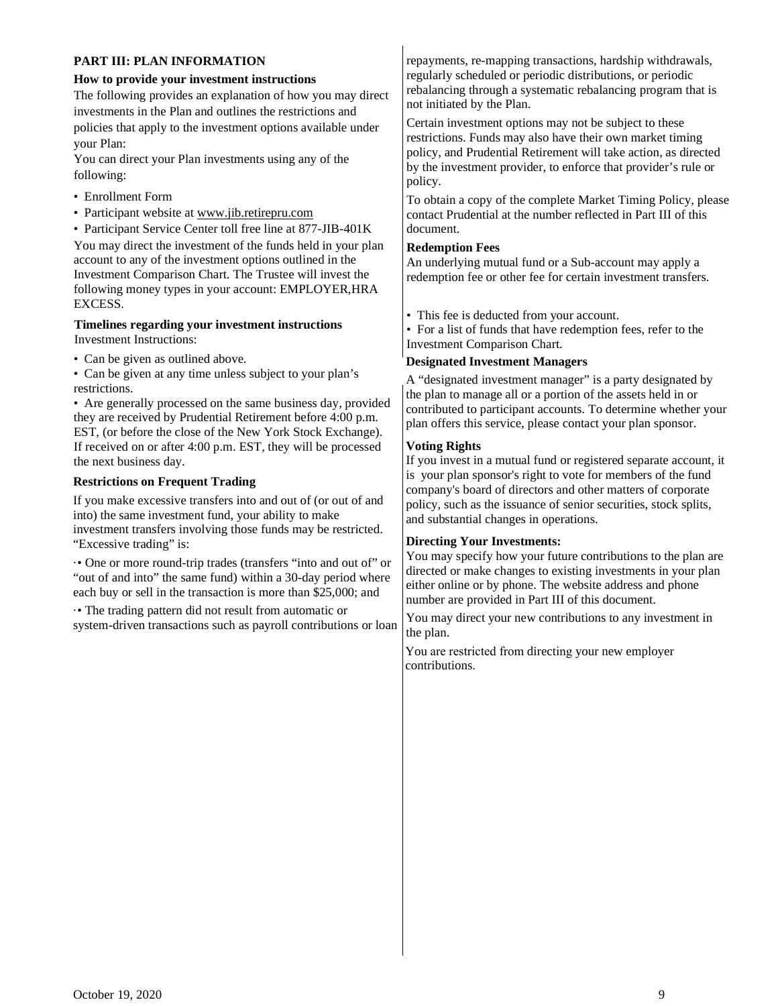## **PART III: PLAN INFORMATION**

### **How to provide your investment instructions**

 The following provides an explanation of how you may direct investments in the Plan and outlines the restrictions and policies that apply to the investment options available under your Plan:

 You can direct your Plan investments using any of the following:

- Enrollment Form
- Participant website at<www.jib.retirepru.com>

• Participant Service Center toll free line at 877-JIB-401K You may direct the investment of the funds held in your plan account to any of the investment options outlined in the Investment Comparison Chart. The Trustee will invest the following money types in your account: EMPLOYER,HRA EXCESS.

# **Timelines regarding your investment instructions**

Investment Instructions:

• Can be given as outlined above.

• Can be given at any time unless subject to your plan's restrictions.

• Are generally processed on the same business day, provided they are received by Prudential Retirement before 4:00 p.m. EST, (or before the close of the New York Stock Exchange). If received on or after 4:00 p.m. EST, they will be processed the next business day.

### **Restrictions on Frequent Trading**

If you make excessive transfers into and out of (or out of and into) the same investment fund, your ability to make investment transfers involving those funds may be restricted. "Excessive trading" is:

·• One or more round-trip trades (transfers "into and out of" or "out of and into" the same fund) within a 30-day period where each buy or sell in the transaction is more than \$25,000; and

·• The trading pattern did not result from automatic or system-driven transactions such as payroll contributions or loan  repayments, re-mapping transactions, hardship withdrawals, regularly scheduled or periodic distributions, or periodic rebalancing through a systematic rebalancing program that is not initiated by the Plan.

 Certain investment options may not be subject to these restrictions. Funds may also have their own market timing policy, and Prudential Retirement will take action, as directed by the investment provider, to enforce that provider's rule or policy.

 To obtain a copy of the complete Market Timing Policy, please contact Prudential at the number reflected in Part III of this document.

### **Redemption Fees**

 An underlying mutual fund or a Sub-account may apply a redemption fee or other fee for certain investment transfers.

• This fee is deducted from your account.

• For a list of funds that have redemption fees, refer to the Investment Comparison Chart.

### **Designated Investment Managers**

 A "designated investment manager" is a party designated by the plan to manage all or a portion of the assets held in or contributed to participant accounts. To determine whether your plan offers this service, please contact your plan sponsor.

### **Voting Rights**

 If you invest in a mutual fund or registered separate account, it is your plan sponsor's right to vote for members of the fund company's board of directors and other matters of corporate policy, such as the issuance of senior securities, stock splits, and substantial changes in operations.

## **Directing Your Investments:**

 You may specify how your future contributions to the plan are directed or make changes to existing investments in your plan either online or by phone. The website address and phone number are provided in Part III of this document.

 You may direct your new contributions to any investment in the plan.

 You are restricted from directing your new employer contributions.